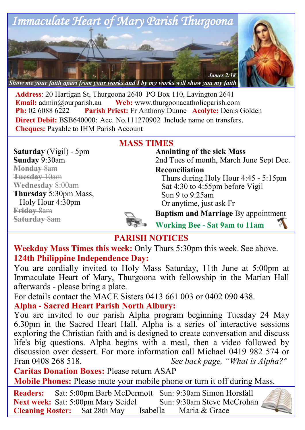

**Address**: 20 Hartigan St, Thurgoona 2640 PO Box 110, Lavington 2641 **Email:**  $\alpha$ <sup>o</sup> admin $\alpha$ <sup>o</sup> aurearish.au **Web:** www.thurgoonacatholicparish.com **Ph:** 02 6088 6222 **Parish Priest:** Fr Anthony Dunne **Acolyte:** Denis Golden **Direct Debit: BSB640000: Acc. No.111270902** Include name on transfers. **Cheques:** Payable to IHM Parish Account

**MASS TIMES**

**Saturday** (Vigil) - 5pm **Sunday** 9:30am **Monday** 8am **Tuesday** 10am **Wednesday** 8:00am **Thursday** 5:30pm Mass, Holy Hour 4:30pm **Friday** 8am **Saturday** 8am

**Anointing of the sick Mass** 2nd Tues of month, March June Sept Dec.

**Reconciliation** 

Thurs during Holy Hour 4:45 - 5:15pm Sat 4:30 to 4:55pm before Vigil Sun 9 to 9.25am Or anytime, just ask Fr

**Baptism and Marriage** By appointment

**Working Bee - Sat 9am to 11am**

### **PARISH NOTICES**

**Weekday Mass Times this week:** Only Thurs 5:30pm this week. See above. **124th Philippine Independence Day:** 

You are cordially invited to Holy Mass Saturday, 11th June at 5:00pm at Immaculate Heart of Mary, Thurgoona with fellowship in the Marian Hall afterwards - please bring a plate.

For details contact the MACE Sisters 0413 661 003 or 0402 090 438.

**Alpha - Sacred Heart Parish North Albury:** 

You are invited to our parish Alpha program beginning Tuesday 24 May 6.30pm in the Sacred Heart Hall. Alpha is a series of interactive sessions exploring the Christian faith and is designed to create conversation and discuss life's big questions. Alpha begins with a meal, then a video followed by discussion over dessert. For more information call Michael 0419 982 574 or Fran 0408 268 518. *See back page, "What is Alpha?"*

**Caritas Donation Boxes:** Please return ASAP **Mobile Phones:** Please mute your mobile phone or turn it off during Mass.

**Readers:** Sat: 5:00pm Barb McDermott Sun: 9:30am Simon Horsfall **Next week:** Sat: 5:00pm Mary Seidel Sun: 9:30am Steve McCrohan **Cleaning Roster:** Sat 28th May Isabella Maria & Grace

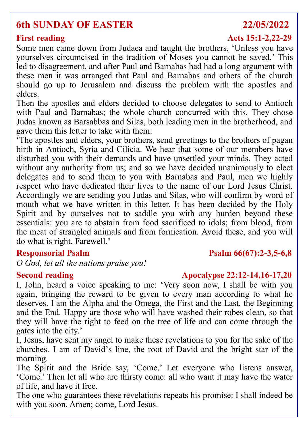## **6th SUNDAY OF EASTER 22/05/2022**

### **First reading Acts 15:1-2,22-29**

### Some men came down from Judaea and taught the brothers, 'Unless you have yourselves circumcised in the tradition of Moses you cannot be saved.' This led to disagreement, and after Paul and Barnabas had had a long argument with these men it was arranged that Paul and Barnabas and others of the church should go up to Jerusalem and discuss the problem with the apostles and elders.

Then the apostles and elders decided to choose delegates to send to Antioch with Paul and Barnabas; the whole church concurred with this. They chose Judas known as Barsabbas and Silas, both leading men in the brotherhood, and gave them this letter to take with them:

'The apostles and elders, your brothers, send greetings to the brothers of pagan birth in Antioch, Syria and Cilicia. We hear that some of our members have disturbed you with their demands and have unsettled your minds. They acted without any authority from us; and so we have decided unanimously to elect delegates and to send them to you with Barnabas and Paul, men we highly respect who have dedicated their lives to the name of our Lord Jesus Christ. Accordingly we are sending you Judas and Silas, who will confirm by word of mouth what we have written in this letter. It has been decided by the Holy Spirit and by ourselves not to saddle you with any burden beyond these essentials: you are to abstain from food sacrificed to idols; from blood, from the meat of strangled animals and from fornication. Avoid these, and you will do what is right. Farewell.'

### **Responsorial Psalm Psalm 66(67):2-3,5-6,8**

*O God, let all the nations praise you!*

**Second reading Apocalypse 22:12-14,16-17,20** 

I, John, heard a voice speaking to me: 'Very soon now, I shall be with you again, bringing the reward to be given to every man according to what he deserves. I am the Alpha and the Omega, the First and the Last, the Beginning and the End. Happy are those who will have washed their robes clean, so that they will have the right to feed on the tree of life and can come through the gates into the city.'

I, Jesus, have sent my angel to make these revelations to you for the sake of the churches. I am of David's line, the root of David and the bright star of the morning.

The Spirit and the Bride say, 'Come.' Let everyone who listens answer, 'Come.' Then let all who are thirsty come: all who want it may have the water of life, and have it free.

The one who guarantees these revelations repeats his promise: I shall indeed be with you soon. Amen; come, Lord Jesus.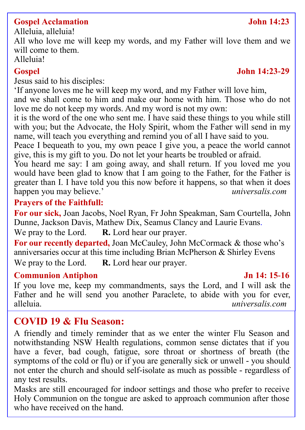## **Gospel Acclamation John 14:23**

Alleluia, alleluia!

All who love me will keep my words, and my Father will love them and we will come to them.

Alleluia!

Jesus said to his disciples:

'If anyone loves me he will keep my word, and my Father will love him,

and we shall come to him and make our home with him. Those who do not love me do not keep my words. And my word is not my own:

it is the word of the one who sent me. I have said these things to you while still with you; but the Advocate, the Holy Spirit, whom the Father will send in my name, will teach you everything and remind you of all I have said to you.

Peace I bequeath to you, my own peace I give you, a peace the world cannot give, this is my gift to you. Do not let your hearts be troubled or afraid.

You heard me say: I am going away, and shall return. If you loved me you would have been glad to know that I am going to the Father, for the Father is greater than I. I have told you this now before it happens, so that when it does happen you may believe.' *universalis.com*

### **Prayers of the Faithfull:**

**For our sick,** Joan Jacobs, Noel Ryan, Fr John Speakman, Sam Courtella, John Dunne, Jackson Davis, Mathew Dix, Seamus Clancy and Laurie Evans.

We pray to the Lord. **R.** Lord hear our prayer.

**For our recently departed,** Joan McCauley, John McCormack & those who's anniversaries occur at this time including Brian McPherson & Shirley Evens

We pray to the Lord. **R.** Lord hear our prayer.

### **Communion Antiphon Jn 14: 15-16**

If you love me, keep my commandments, says the Lord, and I will ask the Father and he will send you another Paraclete, to abide with you for ever, alleluia. *universalis.com*

# **COVID 19 & Flu Season:**

A friendly and timely reminder that as we enter the winter Flu Season and notwithstanding NSW Health regulations, common sense dictates that if you have a fever, bad cough, fatigue, sore throat or shortness of breath (the symptoms of the cold or flu) or if you are generally sick or unwell - you should not enter the church and should self-isolate as much as possible - regardless of any test results.

Masks are still encouraged for indoor settings and those who prefer to receive Holy Communion on the tongue are asked to approach communion after those who have received on the hand.

## **Gospel John 14:23-29**